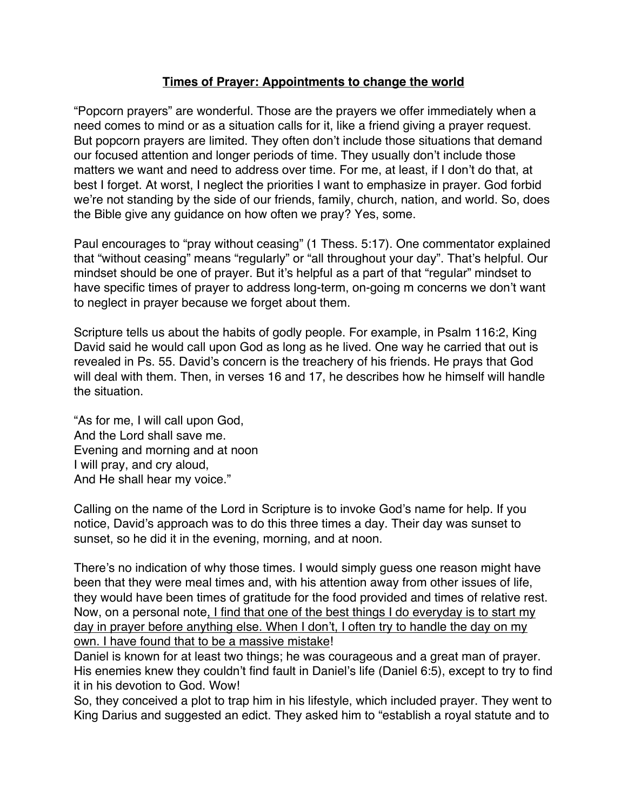## **Times of Prayer: Appointments to change the world**

"Popcorn prayers" are wonderful. Those are the prayers we offer immediately when a need comes to mind or as a situation calls for it, like a friend giving a prayer request. But popcorn prayers are limited. They often don't include those situations that demand our focused attention and longer periods of time. They usually don't include those matters we want and need to address over time. For me, at least, if I don't do that, at best I forget. At worst, I neglect the priorities I want to emphasize in prayer. God forbid we're not standing by the side of our friends, family, church, nation, and world. So, does the Bible give any guidance on how often we pray? Yes, some.

Paul encourages to "pray without ceasing" (1 Thess. 5:17). One commentator explained that "without ceasing" means "regularly" or "all throughout your day". That's helpful. Our mindset should be one of prayer. But it's helpful as a part of that "regular" mindset to have specific times of prayer to address long-term, on-going m concerns we don't want to neglect in prayer because we forget about them.

Scripture tells us about the habits of godly people. For example, in Psalm 116:2, King David said he would call upon God as long as he lived. One way he carried that out is revealed in Ps. 55. David's concern is the treachery of his friends. He prays that God will deal with them. Then, in verses 16 and 17, he describes how he himself will handle the situation.

"As for me, I will call upon God, And the Lord shall save me. Evening and morning and at noon I will pray, and cry aloud, And He shall hear my voice."

Calling on the name of the Lord in Scripture is to invoke God's name for help. If you notice, David's approach was to do this three times a day. Their day was sunset to sunset, so he did it in the evening, morning, and at noon.

There's no indication of why those times. I would simply guess one reason might have been that they were meal times and, with his attention away from other issues of life, they would have been times of gratitude for the food provided and times of relative rest. Now, on a personal note, I find that one of the best things I do everyday is to start my day in prayer before anything else. When I don't, I often try to handle the day on my own. I have found that to be a massive mistake!

Daniel is known for at least two things; he was courageous and a great man of prayer. His enemies knew they couldn't find fault in Daniel's life (Daniel 6:5), except to try to find it in his devotion to God. Wow!

So, they conceived a plot to trap him in his lifestyle, which included prayer. They went to King Darius and suggested an edict. They asked him to "establish a royal statute and to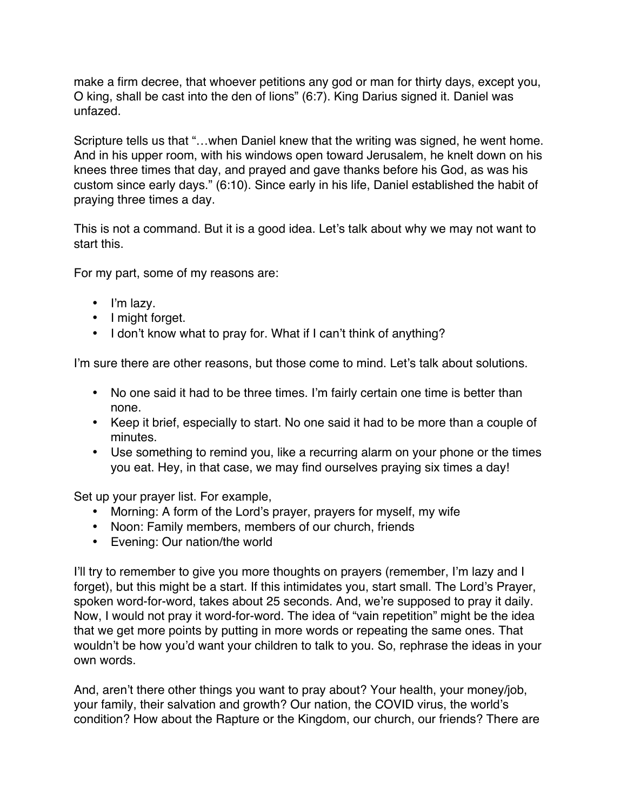make a firm decree, that whoever petitions any god or man for thirty days, except you, O king, shall be cast into the den of lions" (6:7). King Darius signed it. Daniel was unfazed.

Scripture tells us that "…when Daniel knew that the writing was signed, he went home. And in his upper room, with his windows open toward Jerusalem, he knelt down on his knees three times that day, and prayed and gave thanks before his God, as was his custom since early days." (6:10). Since early in his life, Daniel established the habit of praying three times a day.

This is not a command. But it is a good idea. Let's talk about why we may not want to start this.

For my part, some of my reasons are:

- I'm lazy.
- I might forget.
- I don't know what to pray for. What if I can't think of anything?

I'm sure there are other reasons, but those come to mind. Let's talk about solutions.

- No one said it had to be three times. I'm fairly certain one time is better than none.
- Keep it brief, especially to start. No one said it had to be more than a couple of minutes.
- Use something to remind you, like a recurring alarm on your phone or the times you eat. Hey, in that case, we may find ourselves praying six times a day!

Set up your prayer list. For example,

- Morning: A form of the Lord's prayer, prayers for myself, my wife
- Noon: Family members, members of our church, friends
- Evening: Our nation/the world

I'll try to remember to give you more thoughts on prayers (remember, I'm lazy and I forget), but this might be a start. If this intimidates you, start small. The Lord's Prayer, spoken word-for-word, takes about 25 seconds. And, we're supposed to pray it daily. Now, I would not pray it word-for-word. The idea of "vain repetition" might be the idea that we get more points by putting in more words or repeating the same ones. That wouldn't be how you'd want your children to talk to you. So, rephrase the ideas in your own words.

And, aren't there other things you want to pray about? Your health, your money/job, your family, their salvation and growth? Our nation, the COVID virus, the world's condition? How about the Rapture or the Kingdom, our church, our friends? There are